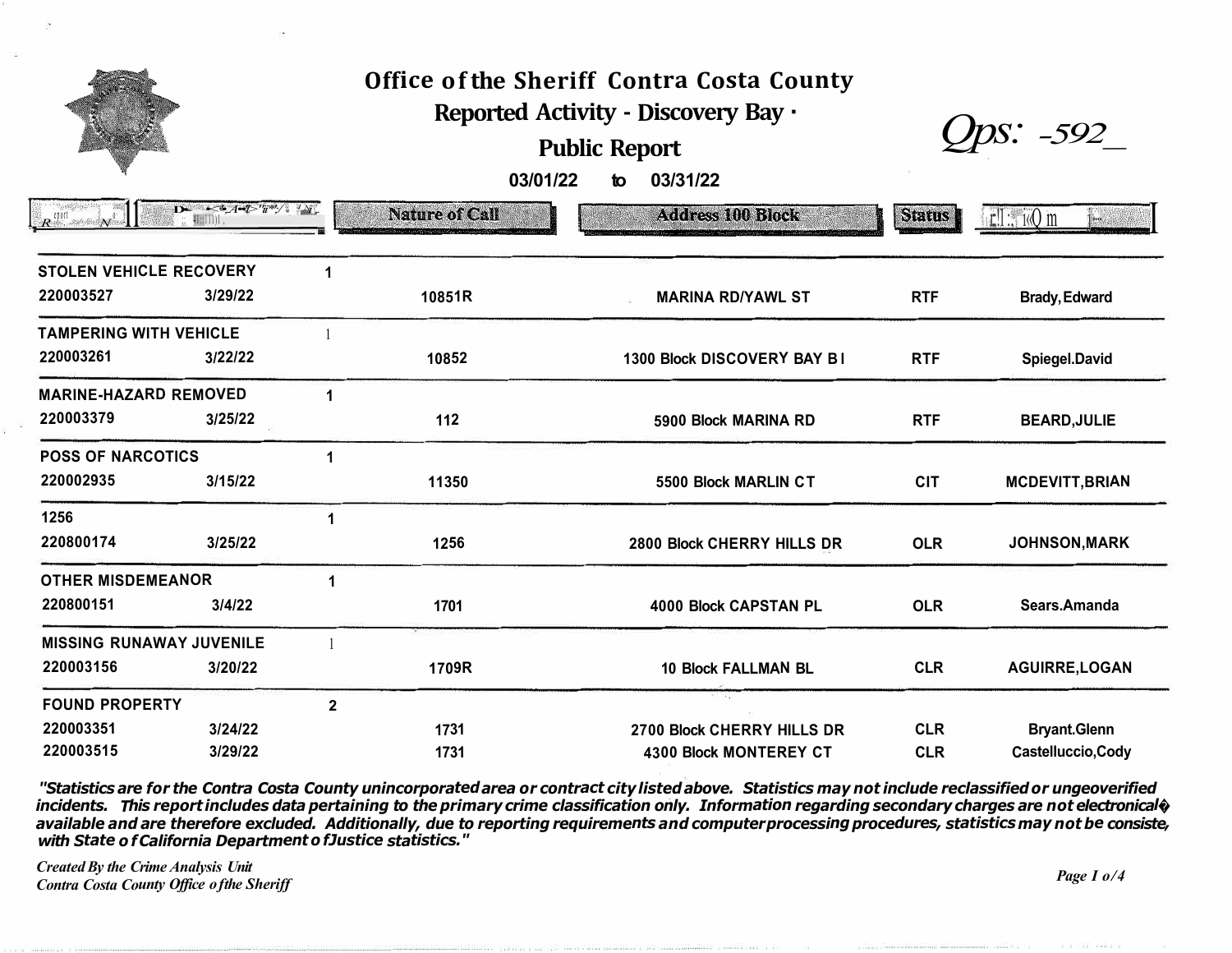## Office of the Sheriff Contra Costa County Reported Activity - Discovery Bay ·

## **Public Report**

 $Qps: -592$ 

to  $03/31/22$ 03/01/22

|                                | $\sim 4.4 - 1.7$ $\pi^3 / 4N$ .<br>: DE | <b>Nature of Call</b><br>Admitted Strangers again Valuation Adaptation are the propositions to converge protections and | <b>Address 100 Block</b><br>in a strong in the continuum of the state of the continuum of the continuum of the protection of the continuum | Status     | $\mathbf{H}$        |
|--------------------------------|-----------------------------------------|-------------------------------------------------------------------------------------------------------------------------|--------------------------------------------------------------------------------------------------------------------------------------------|------------|---------------------|
| <b>STOLEN VEHICLE RECOVERY</b> |                                         |                                                                                                                         |                                                                                                                                            |            |                     |
| 220003527                      | 3/29/22                                 | 10851R                                                                                                                  | <b>MARINA RD/YAWI ST</b>                                                                                                                   | <b>RTF</b> | <b>Rrady Edward</b> |

| <b>TAMPERING WITH VEHICLE</b>   |         |                |       |                             |            |                        |
|---------------------------------|---------|----------------|-------|-----------------------------|------------|------------------------|
| 220003261                       | 3/22/22 |                | 10852 | 1300 Block DISCOVERY BAY BI | <b>RTF</b> | Spiegel.David          |
| <b>MARINE-HAZARD REMOVED</b>    |         |                |       |                             |            |                        |
| 220003379                       | 3/25/22 |                | 112   | 5900 Block MARINA RD        | <b>RTF</b> | <b>BEARD, JULIE</b>    |
| <b>POSS OF NARCOTICS</b>        |         |                |       |                             |            |                        |
| 220002935                       | 3/15/22 |                | 11350 | 5500 Block MARLIN CT        | <b>CIT</b> | <b>MCDEVITT, BRIAN</b> |
| 1256                            |         |                |       |                             |            |                        |
| 220800174                       | 3/25/22 |                | 1256  | 2800 Block CHERRY HILLS DR  | <b>OLR</b> | <b>JOHNSON, MARK</b>   |
| <b>OTHER MISDEMEANOR</b>        |         |                |       |                             |            |                        |
| 220800151                       | 3/4/22  |                | 1701  | 4000 Block CAPSTAN PL       | <b>OLR</b> | Sears.Amanda           |
| <b>MISSING RUNAWAY JUVENILE</b> |         |                |       |                             |            |                        |
| 220003156                       | 3/20/22 |                | 1709R | <b>10 Block FALLMAN BL</b>  | <b>CLR</b> | <b>AGUIRRE, LOGAN</b>  |
| <b>FOUND PROPERTY</b>           |         | $\overline{2}$ |       | P. 40                       |            |                        |
| 220003351                       | 3/24/22 |                | 1731  | 2700 Block CHERRY HILLS DR  | <b>CLR</b> | <b>Bryant.Glenn</b>    |
| 220003515                       | 3/29/22 |                | 1731  | 4300 Block MONTEREY CT      | <b>CLR</b> | Castelluccio, Cody     |

"Statistics are for the Contra Costa County unincorporated area or contract city listed above. Statistics may not include reclassified or ungeoverified incidents. This report includes data pertaining to the primary crime classification only. Information regarding secondary charges are not electronical  $\phi$ available and are therefore excluded. Additionally, due to reporting requirements and computer processing procedures, statistics may not be consiste, with State of California Department of Justice statistics."

**Created By the Crime Analysis Unit Contra Costa County Office of the Sheriff**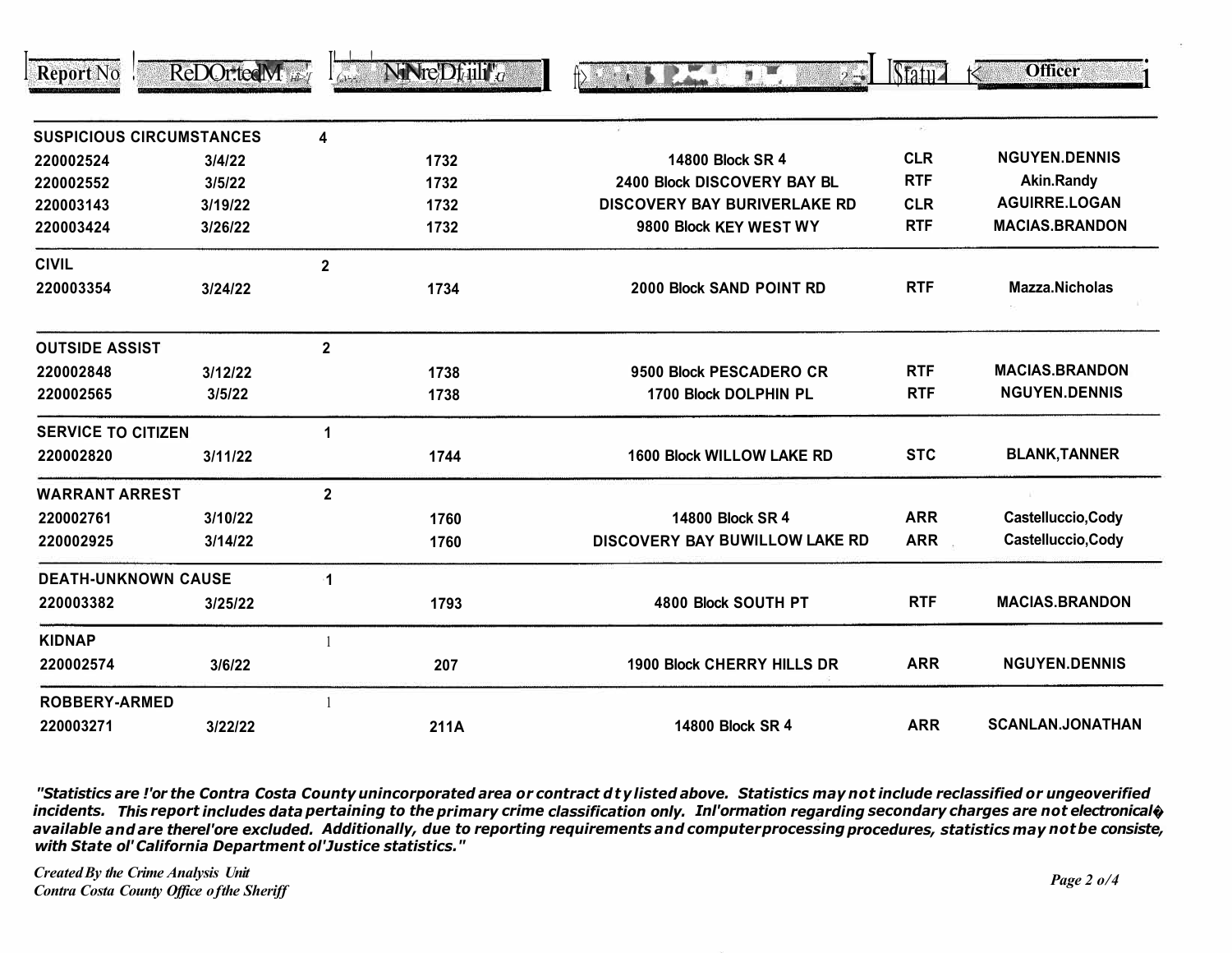| <b>Report No</b>           | ReDOr.tedM                      |                         | $N$ iNre' $D$ f <sub>il</sub> ij <sup>u</sup> <sub>a</sub> | 7 <sup>W</sup><br>$2 - 1$           | $\delta$ tatu $\Delta$ | <b>Officer</b>          |
|----------------------------|---------------------------------|-------------------------|------------------------------------------------------------|-------------------------------------|------------------------|-------------------------|
|                            | <b>SUSPICIOUS CIRCUMSTANCES</b> | 4                       |                                                            |                                     | $\sim$                 |                         |
| 220002524                  | 3/4/22                          |                         | 1732                                                       | 14800 Block SR 4                    | <b>CLR</b>             | <b>NGUYEN.DENNIS</b>    |
| 220002552                  | 3/5/22                          |                         | 1732                                                       | 2400 Block DISCOVERY BAY BL         | <b>RTF</b>             | <b>Akin.Randy</b>       |
| 220003143                  | 3/19/22                         |                         | 1732                                                       | <b>DISCOVERY BAY BURIVERLAKE RD</b> | <b>CLR</b>             | <b>AGUIRRE.LOGAN</b>    |
| 220003424                  | 3/26/22                         |                         | 1732                                                       | 9800 Block KEY WEST WY              | <b>RTF</b>             | <b>MACIAS.BRANDON</b>   |
| <b>CIVIL</b>               |                                 | $\overline{\mathbf{2}}$ |                                                            |                                     |                        |                         |
| 220003354                  | 3/24/22                         |                         | 1734                                                       | 2000 Block SAND POINT RD            | <b>RTF</b>             | Mazza.Nicholas          |
| <b>OUTSIDE ASSIST</b>      |                                 | $\mathbf{2}$            |                                                            |                                     |                        |                         |
| 220002848                  | 3/12/22                         |                         | 1738                                                       | 9500 Block PESCADERO CR             | <b>RTF</b>             | <b>MACIAS.BRANDON</b>   |
| 220002565                  | 3/5/22                          |                         | 1738                                                       | 1700 Block DOLPHIN PL               | <b>RTF</b>             | <b>NGUYEN.DENNIS</b>    |
| <b>SERVICE TO CITIZEN</b>  |                                 | 1                       |                                                            |                                     |                        |                         |
| 220002820                  | 3/11/22                         |                         | 1744                                                       | <b>1600 Block WILLOW LAKE RD</b>    | <b>STC</b>             | <b>BLANK, TANNER</b>    |
| <b>WARRANT ARREST</b>      |                                 | $\mathbf{2}$            |                                                            |                                     |                        |                         |
| 220002761                  | 3/10/22                         |                         | 1760                                                       | 14800 Block SR 4                    | <b>ARR</b>             | Castelluccio, Cody      |
| 220002925                  | 3/14/22                         |                         | 1760                                                       | DISCOVERY BAY BUWILLOW LAKE RD      | <b>ARR</b>             | Castelluccio, Cody      |
| <b>DEATH-UNKNOWN CAUSE</b> |                                 | 1                       |                                                            |                                     |                        |                         |
| 220003382                  | 3/25/22                         |                         | 1793                                                       | 4800 Block SOUTH PT                 | <b>RTF</b>             | <b>MACIAS.BRANDON</b>   |
| <b>KIDNAP</b>              |                                 |                         |                                                            |                                     |                        |                         |
| 220002574                  | 3/6/22                          |                         | 207                                                        | <b>1900 Block CHERRY HILLS DR</b>   | <b>ARR</b>             | <b>NGUYEN.DENNIS</b>    |
| <b>ROBBERY-ARMED</b>       |                                 |                         |                                                            |                                     |                        |                         |
| 220003271                  | 3122122                         |                         | $211\Delta$                                                | 14800 Block SR 4                    | <b>ARR</b>             | <b>SCANLAN.JONATHAN</b> |

"Statistics are !'or the Contra Costa County unincorporated area or contract dty listed above. Statistics may not include reclassified or ungeoverified incidents. This report includes data pertaining to the primary crime classification only. Inl'ormation regarding secondary charges are not electronical  $\phi$ available and are therel'ore excluded. Additionally, due to reporting requirements and computerprocessing procedures, statistics may not be consiste, with State ol' California Department ol'Justice statistics."

**Created By the Crime Analysis Unit Contra Costa County Office of the Sheriff**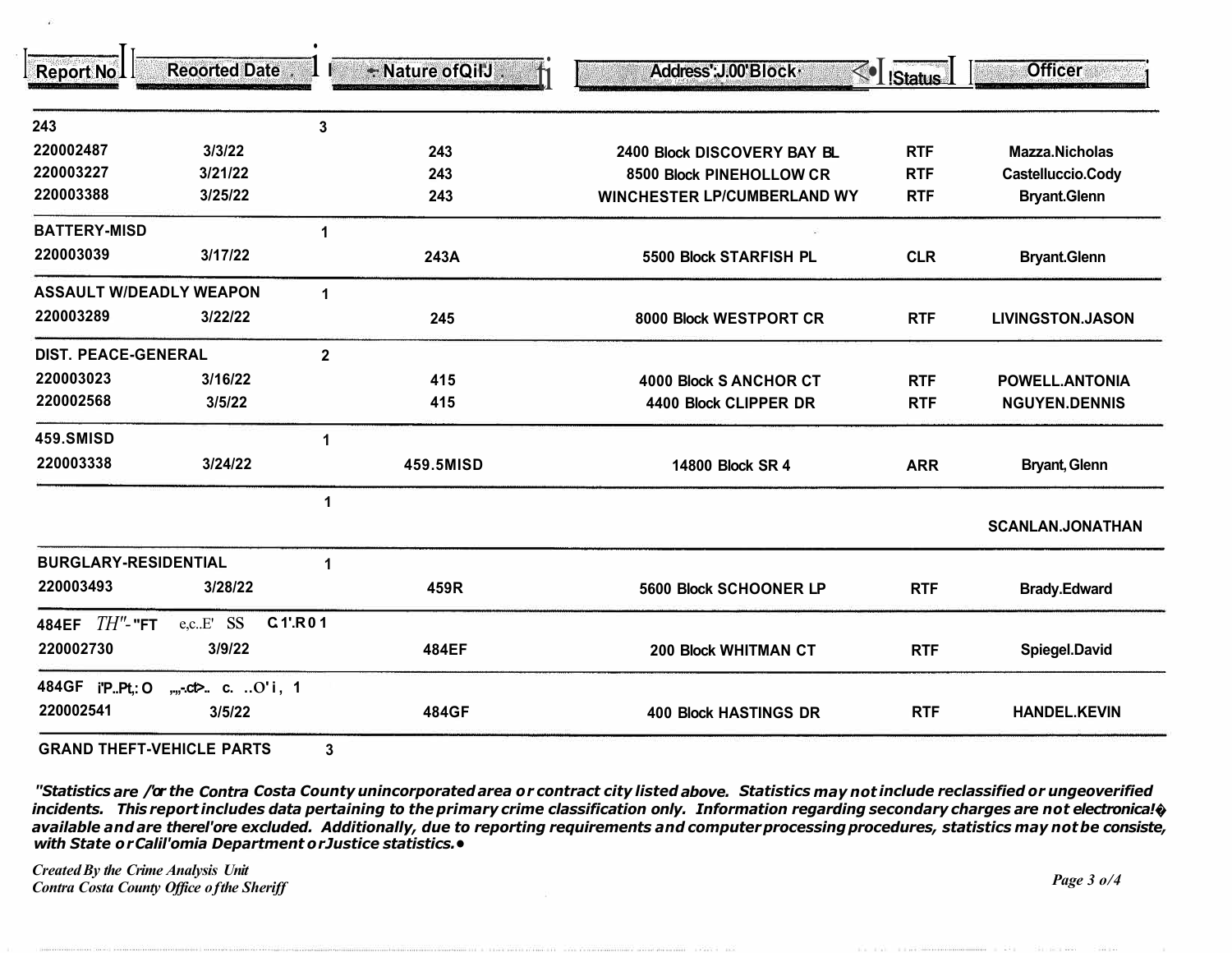| <b>Report No I</b>          | <b>Reoorted Date</b>           |                      | + Nature of QilJ | Address': J.00' Block ·<br>$\leq$  | Status     | <b>Officer</b>          |
|-----------------------------|--------------------------------|----------------------|------------------|------------------------------------|------------|-------------------------|
| 243                         |                                | 3                    |                  |                                    |            |                         |
| 220002487                   | 3/3/22                         |                      | 243              | 2400 Block DISCOVERY BAY BL        | <b>RTF</b> | <b>Mazza.Nicholas</b>   |
| 220003227                   | 3/21/22                        |                      | 243              | 8500 Block PINEHOLLOW CR           | <b>RTF</b> | Castelluccio.Cody       |
| 220003388                   | 3/25/22                        |                      | 243              | <b>WINCHESTER LP/CUMBERLAND WY</b> | <b>RTF</b> | <b>Bryant.Glenn</b>     |
| <b>BATTERY-MISD</b>         |                                | $\mathbf{1}$         |                  |                                    |            |                         |
| 220003039                   | 3/17/22                        |                      | 243A             | 5500 Block STARFISH PL             | <b>CLR</b> | <b>Bryant.Glenn</b>     |
|                             | <b>ASSAULT W/DEADLY WEAPON</b> | $\blacktriangleleft$ |                  |                                    |            |                         |
| 220003289                   | 3/22/22                        |                      | 245              | 8000 Block WESTPORT CR             | <b>RTF</b> | <b>LIVINGSTON.JASON</b> |
| <b>DIST. PEACE-GENERAL</b>  |                                | $\mathbf{2}$         |                  |                                    |            |                         |
| 220003023                   | 3/16/22                        |                      | 415              | 4000 Block S ANCHOR CT             | <b>RTF</b> | <b>POWELL.ANTONIA</b>   |
| 220002568                   | 3/5/22                         |                      | 415              | 4400 Block CLIPPER DR              | <b>RTF</b> | <b>NGUYEN.DENNIS</b>    |
| <b>459.SMISD</b>            |                                | 1                    |                  |                                    |            |                         |
| 220003338                   | 3/24/22                        |                      | 459.5MISD        | 14800 Block SR 4                   | <b>ARR</b> | <b>Bryant, Glenn</b>    |
|                             |                                | $\mathbf{1}$         |                  |                                    |            | <b>SCANLAN.JONATHAN</b> |
| <b>BURGLARY-RESIDENTIAL</b> |                                | 1                    |                  |                                    |            |                         |
| 220003493                   | 3/28/22                        |                      | 459R             | 5600 Block SCHOONER LP             | <b>RTF</b> | <b>Brady.Edward</b>     |
| $TH''$ - "FT<br>484EF       | e,cE' SS                       | C.1'.R01             |                  |                                    |            |                         |
| 220002730                   | 3/9/22                         |                      | 484EF            | 200 Block WHITMAN CT               | <b>RTF</b> | Spiegel.David           |
| 484GF i'PPt,: O             | $, 0.0$ . C. $.0$ 'i, 1        |                      |                  |                                    |            |                         |
| 220002541                   | 3/5/22                         |                      | 484GF            | <b>400 Block HASTINGS DR</b>       | <b>RTF</b> | <b>HANDEL.KEVIN</b>     |

**GRAND THEFT-VEHICLE PARTS** 

"Statistics are /'or the Contra Costa County unincorporated area or contract city listed above. Statistics may not include reclassified or ungeoverified incidents. This report includes data pertaining to the primary crime classification only. Information regarding secondary charges are not electronica! $\hat{\mathbf{v}}$ available and are therel'ore excluded. Additionally, due to reporting requirements and computer processing procedures, statistics may not be consiste, with State or Calil'omia Department or Justice statistics. .

**Created By the Crime Analysis Unit** Contra Costa County Office of the Sheriff

Page  $30/4$